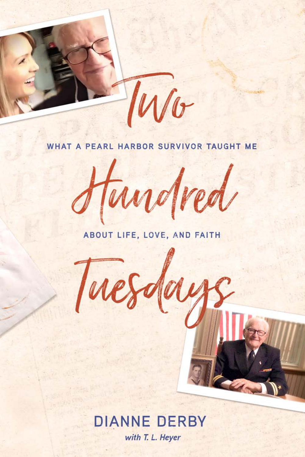

Wo

Hundred

ABOUT LIFE, LOVE, AND FAITH



## **DIANNE DERBY**

with T. L. Heyer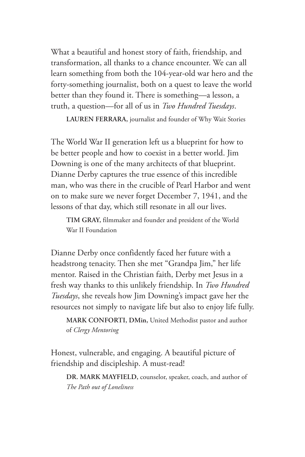What a beautiful and honest story of faith, friendship, and transformation, all thanks to a chance encounter. We can all learn something from both the 104-year-old war hero and the forty-something journalist, both on a quest to leave the world better than they found it. There is something—a lesson, a truth, a question—for all of us in *Two Hundred Tuesdays*.

**LAUREN FERRARA,** journalist and founder of Why Wait Stories

The World War II generation left us a blueprint for how to be better people and how to coexist in a better world. Jim Downing is one of the many architects of that blueprint. Dianne Derby captures the true essence of this incredible man, who was there in the crucible of Pearl Harbor and went on to make sure we never forget December 7, 1941, and the lessons of that day, which still resonate in all our lives.

**TIM GRAY,** filmmaker and founder and president of the World War II Foundation

Dianne Derby once confidently faced her future with a headstrong tenacity. Then she met "Grandpa Jim," her life mentor. Raised in the Christian faith, Derby met Jesus in a fresh way thanks to this unlikely friendship. In *Two Hundred Tuesdays*, she reveals how Jim Downing's impact gave her the resources not simply to navigate life but also to enjoy life fully.

**MARK CONFORTI, DMin,** United Methodist pastor and author of *Clergy Mentoring*

Honest, vulnerable, and engaging. A beautiful picture of friendship and discipleship. A must-read!

**DR. MARK MAYFIELD,** counselor, speaker, coach, and author of *The Path out of Loneliness*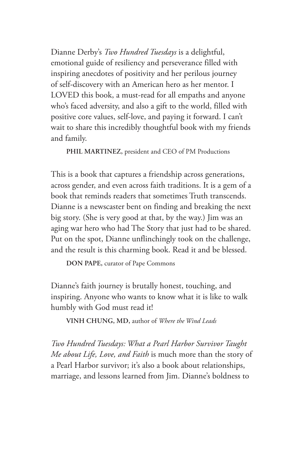Dianne Derby's *Two Hundred Tuesdays* is a delightful, emotional guide of resiliency and perseverance filled with inspiring anecdotes of positivity and her perilous journey of self-discovery with an American hero as her mentor. I LOVED this book, a must-read for all empaths and anyone who's faced adversity, and also a gift to the world, filled with positive core values, self-love, and paying it forward. I can't wait to share this incredibly thoughtful book with my friends and family.

**PHIL MARTINEZ,** president and CEO of PM Productions

This is a book that captures a friendship across generations, across gender, and even across faith traditions. It is a gem of a book that reminds readers that sometimes Truth transcends. Dianne is a newscaster bent on finding and breaking the next big story. (She is very good at that, by the way.) Jim was an aging war hero who had The Story that just had to be shared. Put on the spot, Dianne unflinchingly took on the challenge, and the result is this charming book. Read it and be blessed.

**DON PAPE,** curator of Pape Commons

Dianne's faith journey is brutally honest, touching, and inspiring. Anyone who wants to know what it is like to walk humbly with God must read it!

**VINH CHUNG, MD,** author of *Where the Wind Leads*

*Two Hundred Tuesdays: What a Pearl Harbor Survivor Taught Me about Life, Love, and Faith* is much more than the story of a Pearl Harbor survivor; it's also a book about relationships, marriage, and lessons learned from Jim. Dianne's boldness to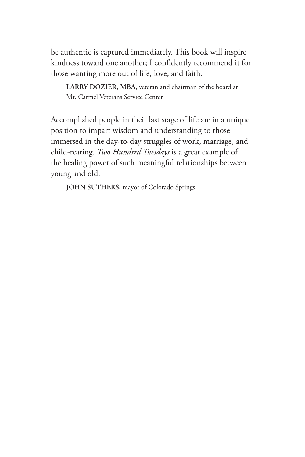be authentic is captured immediately. This book will inspire kindness toward one another; I confidently recommend it for those wanting more out of life, love, and faith.

**LARRY DOZIER, MBA,** veteran and chairman of the board at Mt. Carmel Veterans Service Center

Accomplished people in their last stage of life are in a unique position to impart wisdom and understanding to those immersed in the day-to-day struggles of work, marriage, and child-rearing. *Two Hundred Tuesdays* is a great example of the healing power of such meaningful relationships between young and old.

**JOHN SUTHERS,** mayor of Colorado Springs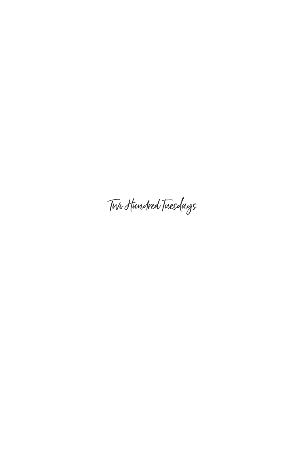Two Hundred Tuesdays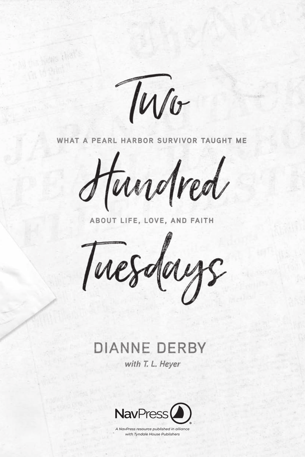Two

Seus tha

WHAT A PEARL HARBOR SURVIVOR TAUGHT ME

Hundred

ABOUT LIFE, LOVE, AND FAITH

Tuesdays

### **DIANNE DERBY**

with T. L. Heyer



A NavPress resource published in alliance with Tyndale House Publishers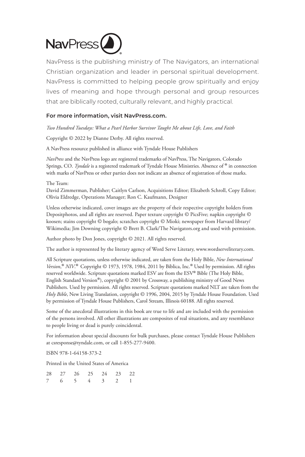# $\mathsf{NavPress}(\blacktriangle)$

NavPress is the publishing ministry of The Navigators, an international Christian organization and leader in personal spiritual development. NavPress is committed to helping people grow spiritually and enjoy lives of meaning and hope through personal and group resources that are biblically rooted, culturally relevant, and highly practical.

#### **For more information, visit NavPress.com.**

*Two Hundred Tuesdays: What a Pearl Harbor Survivor Taught Me about Life, Love, and Faith*

Copyright © 2022 by Dianne Derby. All rights reserved.

A NavPress resource published in alliance with Tyndale House Publishers

*NavPress* and the NavPress logo are registered trademarks of NavPress, The Navigators, Colorado Springs, CO. *Tyndale* is a registered trademark of Tyndale House Ministries. Absence of ® in connection with marks of NavPress or other parties does not indicate an absence of registration of those marks.

The Team:

David Zimmerman, Publisher; Caitlyn Carlson, Acquisitions Editor; Elizabeth Schroll, Copy Editor; Olivia Eldredge, Operations Manager; Ron C. Kaufmann, Designer

Unless otherwise indicated, cover images are the property of their respective copyright holders from Depositphotos, and all rights are reserved. Paper texture copyright © PicsFive; napkin copyright © koosen; stains copyright © bogalo; scratches copyright © Mioki; newspaper from Harvard library/ Wikimedia; Jim Downing copyright © Brett B. Clark/The Navigators.org and used with permission.

Author photo by Don Jones, copyright © 2021. All rights reserved.

The author is represented by the literary agency of Word Serve Literary, www.wordserveliterary.com.

All Scripture quotations, unless otherwise indicated, are taken from the Holy Bible, *New International Version*,<sup>®</sup> *NIV*.<sup>®</sup> Copyright © 1973, 1978, 1984, 2011 by Biblica, Inc.<sup>®</sup> Used by permission. All rights reserved worldwide. Scripture quotations marked ESV are from the ESV® Bible (The Holy Bible, English Standard Version®), copyright © 2001 by Crossway, a publishing ministry of Good News Publishers. Used by permission. All rights reserved. Scripture quotations marked NLT are taken from the *Holy Bible*, New Living Translation, copyright © 1996, 2004, 2015 by Tyndale House Foundation. Used by permission of Tyndale House Publishers, Carol Stream, Illinois 60188. All rights reserved.

Some of the anecdotal illustrations in this book are true to life and are included with the permission of the persons involved. All other illustrations are composites of real situations, and any resemblance to people living or dead is purely coincidental.

For information about special discounts for bulk purchases, please contact Tyndale House Publishers at csresponse@tyndale.com, or call 1-855-277-9400.

ISBN 978-1-64158-373-2

Printed in the United States of America

|  | 28 27 26 25 24 23 22 |  |  |
|--|----------------------|--|--|
|  | 7 6 5 4 3 2 1        |  |  |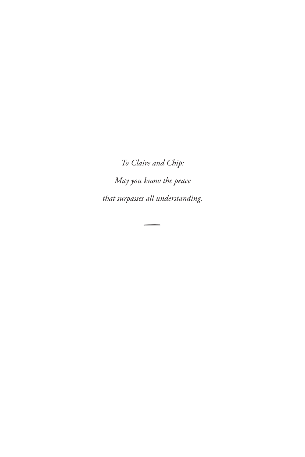*To Claire and Chip: May you know the peace that surpasses all understanding.* \_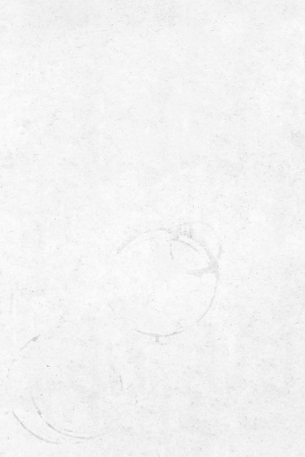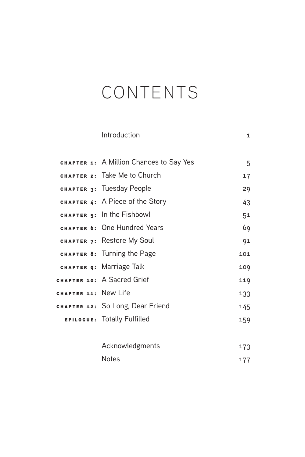## CONTENTS

|                      | Introduction                                   | 1   |
|----------------------|------------------------------------------------|-----|
|                      |                                                |     |
|                      | <b>CHAPTER 1:</b> A Million Chances to Say Yes | 5   |
|                      | CHAPTER 2: Take Me to Church                   | 17  |
|                      | <b>CHAPTER 3: Tuesday People</b>               | 29  |
|                      | <b>CHAPTER 4:</b> A Piece of the Story         | 43  |
|                      | CHAPTER 5: In the Fishbowl                     | 51  |
|                      | CHAPTER 6: One Hundred Years                   | 69  |
|                      | <b>CHAPTER 7: Restore My Soul</b>              | 91  |
|                      | <b>CHAPTER 8:</b> Turning the Page             | 101 |
|                      | <b>CHAPTER 9: Marriage Talk</b>                | 109 |
|                      | CHAPTER 10: A Sacred Grief                     | 119 |
| CHAPTER 11: New Life |                                                | 133 |
|                      | CHAPTER 12: So Long, Dear Friend               | 145 |
|                      | <b>EPILOGUE: Totally Fulfilled</b>             | 159 |
|                      |                                                |     |
|                      | Acknowledgments                                | 173 |

Notes and the set of the set of the set of the set of the set of the set of the set of the set of the set of the set of the set of the set of the set of the set of the set of the set of the set of the set of the set of the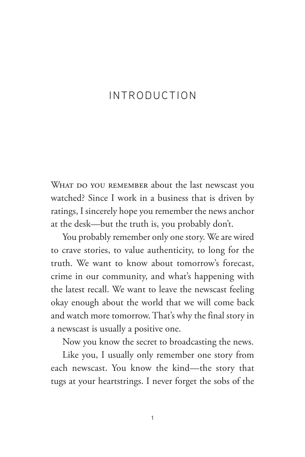### <span id="page-13-0"></span>INTRODUCTION

WHAT DO YOU REMEMBER about the last newscast you watched? Since I work in a business that is driven by ratings, I sincerely hope you remember the news anchor at the desk—but the truth is, you probably don't.

You probably remember only one story. We are wired to crave stories, to value authenticity, to long for the truth. We want to know about tomorrow's forecast, crime in our community, and what's happening with the latest recall. We want to leave the newscast feeling okay enough about the world that we will come back and watch more tomorrow. That's why the final story in a newscast is usually a positive one.

Now you know the secret to broadcasting the news.

Like you, I usually only remember one story from each newscast. You know the kind— the story that tugs at your heartstrings. I never forget the sobs of the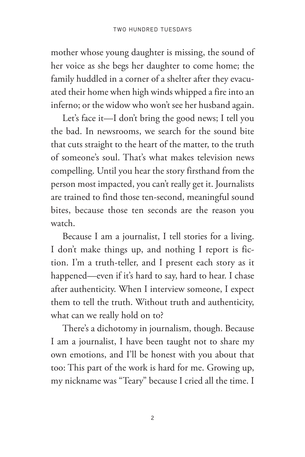mother whose young daughter is missing, the sound of her voice as she begs her daughter to come home; the family huddled in a corner of a shelter after they evacuated their home when high winds whipped a fire into an inferno; or the widow who won't see her husband again.

Let's face it—I don't bring the good news; I tell you the bad. In newsrooms, we search for the sound bite that cuts straight to the heart of the matter, to the truth of someone's soul. That's what makes television news compelling. Until you hear the story firsthand from the person most impacted, you can't really get it. Journalists are trained to find those ten-second, meaningful sound bites, because those ten seconds are the reason you watch.

Because I am a journalist, I tell stories for a living. I don't make things up, and nothing I report is fiction. I'm a truth-teller, and I present each story as it happened—even if it's hard to say, hard to hear. I chase after authenticity. When I interview someone, I expect them to tell the truth. Without truth and authenticity, what can we really hold on to?

There's a dichotomy in journalism, though. Because I am a journalist, I have been taught not to share my own emotions, and I'll be honest with you about that too: This part of the work is hard for me. Growing up, my nickname was "Teary" because I cried all the time. I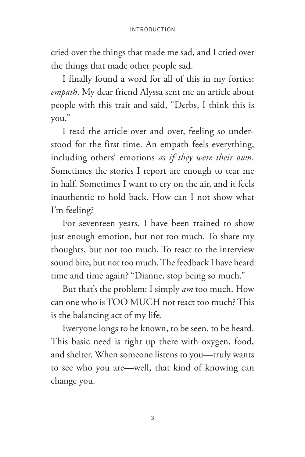#### Introduction

cried over the things that made me sad, and I cried over the things that made other people sad.

I finally found a word for all of this in my forties: *empath*. My dear friend Alyssa sent me an article about people with this trait and said, "Derbs, I think this is you."

I read the article over and over, feeling so understood for the first time. An empath feels everything, including others' emotions *as if they were their own*. Sometimes the stories I report are enough to tear me in half. Sometimes I want to cry on the air, and it feels inauthentic to hold back. How can I not show what I'm feeling?

For seventeen years, I have been trained to show just enough emotion, but not too much. To share my thoughts, but not too much. To react to the interview sound bite, but not too much. The feedback I have heard time and time again? "Dianne, stop being so much."

But that's the problem: I simply *am* too much. How can one who is TOO MUCH not react too much? This is the balancing act of my life.

Everyone longs to be known, to be seen, to be heard. This basic need is right up there with oxygen, food, and shelter. When someone listens to you—truly wants to see who you are— well, that kind of knowing can change you.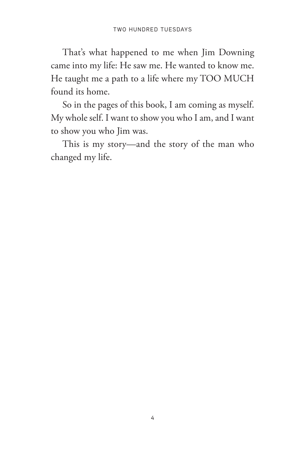That's what happened to me when Jim Downing came into my life: He saw me. He wanted to know me. He taught me a path to a life where my TOO MUCH found its home.

So in the pages of this book, I am coming as myself. My whole self. I want to show you who I am, and I want to show you who Jim was.

This is my story— and the story of the man who changed my life.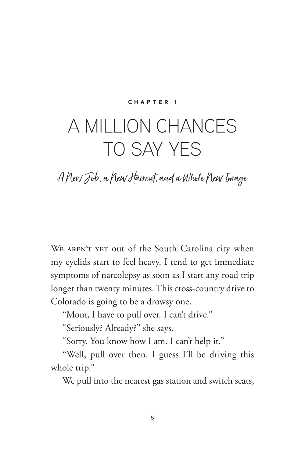#### CHAPTER 1

## <span id="page-17-0"></span>A MILLION CHANCES TO SAY YES

A New Job, a New Haircut, and a Whole New Image

WE AREN'T YET out of the South Carolina city when my eyelids start to feel heavy. I tend to get immediate symptoms of narcolepsy as soon as I start any road trip longer than twenty minutes. This cross-country drive to Colorado is going to be a drowsy one.

"Mom, I have to pull over. I can't drive."

"Seriously? Already?" she says.

"Sorry. You know how I am. I can't help it."

"Well, pull over then. I guess I'll be driving this whole trip."

We pull into the nearest gas station and switch seats,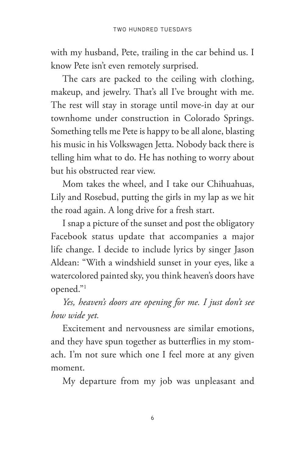with my husband, Pete, trailing in the car behind us. I know Pete isn't even remotely surprised.

The cars are packed to the ceiling with clothing, makeup, and jewelry. That's all I've brought with me. The rest will stay in storage until move-in day at our townhome under construction in Colorado Springs. Something tells me Pete is happy to be all alone, blasting his music in his Volkswagen Jetta. Nobody back there is telling him what to do. He has nothing to worry about but his obstructed rear view.

Mom takes the wheel, and I take our Chihuahuas, Lily and Rosebud, putting the girls in my lap as we hit the road again. A long drive for a fresh start.

I snap a picture of the sunset and post the obligatory Facebook status update that accompanies a major life change. I decide to include lyrics by singer Jason Aldean: "With a windshield sunset in your eyes, like a watercolored painted sky, you think heaven's doors have opened."1

*Yes, heaven's doors are opening for me. I just don't see how wide yet.*

Excitement and nervousness are similar emotions, and they have spun together as butterflies in my stomach. I'm not sure which one I feel more at any given moment.

My departure from my job was unpleasant and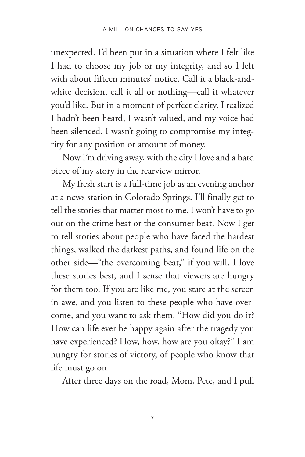unexpected. I'd been put in a situation where I felt like I had to choose my job or my integrity, and so I left with about fifteen minutes' notice. Call it a black-andwhite decision, call it all or nothing—call it whatever you'd like. But in a moment of perfect clarity, I realized I hadn't been heard, I wasn't valued, and my voice had been silenced. I wasn't going to compromise my integrity for any position or amount of money.

Now I'm driving away, with the city I love and a hard piece of my story in the rearview mirror.

My fresh start is a full-time job as an evening anchor at a news station in Colorado Springs. I'll finally get to tell the stories that matter most to me. I won't have to go out on the crime beat or the consumer beat. Now I get to tell stories about people who have faced the hardest things, walked the darkest paths, and found life on the other side—"the overcoming beat," if you will. I love these stories best, and I sense that viewers are hungry for them too. If you are like me, you stare at the screen in awe, and you listen to these people who have overcome, and you want to ask them, "How did you do it? How can life ever be happy again after the tragedy you have experienced? How, how, how are you okay?" I am hungry for stories of victory, of people who know that life must go on.

After three days on the road, Mom, Pete, and I pull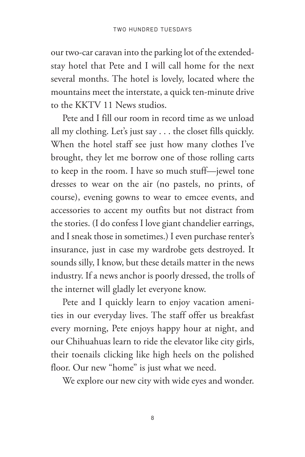our two-car caravan into the parking lot of the extendedstay hotel that Pete and I will call home for the next several months. The hotel is lovely, located where the mountains meet the interstate, a quick ten-minute drive to the KKTV 11 News studios.

Pete and I fill our room in record time as we unload all my clothing. Let's just say . . . the closet fills quickly. When the hotel staff see just how many clothes I've brought, they let me borrow one of those rolling carts to keep in the room. I have so much stuff—jewel tone dresses to wear on the air (no pastels, no prints, of course), evening gowns to wear to emcee events, and accessories to accent my outfits but not distract from the stories. (I do confess I love giant chandelier earrings, and I sneak those in sometimes.) I even purchase renter's insurance, just in case my wardrobe gets destroyed. It sounds silly, I know, but these details matter in the news industry. If a news anchor is poorly dressed, the trolls of the internet will gladly let everyone know.

Pete and I quickly learn to enjoy vacation amenities in our everyday lives. The staff offer us breakfast every morning, Pete enjoys happy hour at night, and our Chihuahuas learn to ride the elevator like city girls, their toenails clicking like high heels on the polished floor. Our new "home" is just what we need.

We explore our new city with wide eyes and wonder.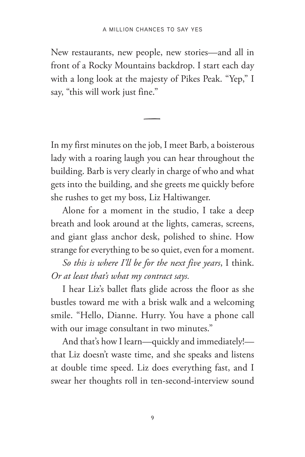New restaurants, new people, new stories— and all in front of a Rocky Mountains backdrop. I start each day with a long look at the majesty of Pikes Peak. "Yep," I say, "this will work just fine." \_

In my first minutes on the job, I meet Barb, a boisterous lady with a roaring laugh you can hear throughout the building. Barb is very clearly in charge of who and what gets into the building, and she greets me quickly before she rushes to get my boss, Liz Haltiwanger.

Alone for a moment in the studio, I take a deep breath and look around at the lights, cameras, screens, and giant glass anchor desk, polished to shine. How strange for everything to be so quiet, even for a moment.

*So this is where I'll be for the next five years*, I think. *Or at least that's what my contract says.*

I hear Liz's ballet flats glide across the floor as she bustles toward me with a brisk walk and a welcoming smile. "Hello, Dianne. Hurry. You have a phone call with our image consultant in two minutes."

And that's how I learn—quickly and immediately! that Liz doesn't waste time, and she speaks and listens at double time speed. Liz does everything fast, and I swear her thoughts roll in ten-second-interview sound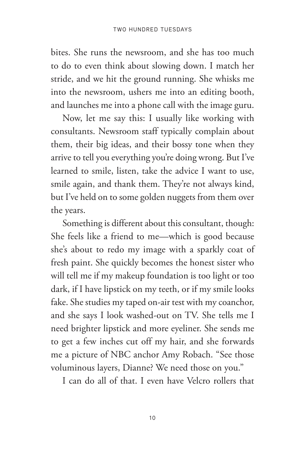bites. She runs the newsroom, and she has too much to do to even think about slowing down. I match her stride, and we hit the ground running. She whisks me into the newsroom, ushers me into an editing booth, and launches me into a phone call with the image guru.

Now, let me say this: I usually like working with consultants. Newsroom staff typically complain about them, their big ideas, and their bossy tone when they arrive to tell you everything you're doing wrong. But I've learned to smile, listen, take the advice I want to use, smile again, and thank them. They're not always kind, but I've held on to some golden nuggets from them over the years.

Something is different about this consultant, though: She feels like a friend to me—which is good because she's about to redo my image with a sparkly coat of fresh paint. She quickly becomes the honest sister who will tell me if my makeup foundation is too light or too dark, if I have lipstick on my teeth, or if my smile looks fake. She studies my taped on-air test with my coanchor, and she says I look washed-out on TV. She tells me I need brighter lipstick and more eyeliner. She sends me to get a few inches cut off my hair, and she forwards me a picture of NBC anchor Amy Robach. "See those voluminous layers, Dianne? We need those on you."

I can do all of that. I even have Velcro rollers that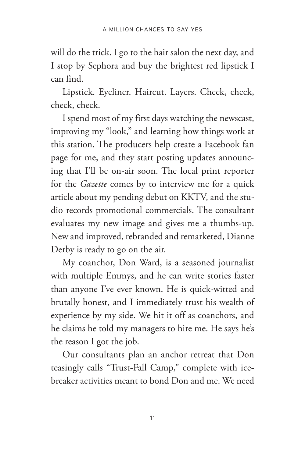will do the trick. I go to the hair salon the next day, and I stop by Sephora and buy the brightest red lipstick I can find.

Lipstick. Eyeliner. Haircut. Layers. Check, check, check, check.

I spend most of my first days watching the newscast, improving my "look," and learning how things work at this station. The producers help create a Facebook fan page for me, and they start posting updates announcing that I'll be on-air soon. The local print reporter for the *Gazette* comes by to interview me for a quick article about my pending debut on KKTV, and the studio records promotional commercials. The consultant evaluates my new image and gives me a thumbs-up. New and improved, rebranded and remarketed, Dianne Derby is ready to go on the air.

My coanchor, Don Ward, is a seasoned journalist with multiple Emmys, and he can write stories faster than anyone I've ever known. He is quick-witted and brutally honest, and I immediately trust his wealth of experience by my side. We hit it off as coanchors, and he claims he told my managers to hire me. He says he's the reason I got the job.

Our consultants plan an anchor retreat that Don teasingly calls "Trust-Fall Camp," complete with icebreaker activities meant to bond Don and me. We need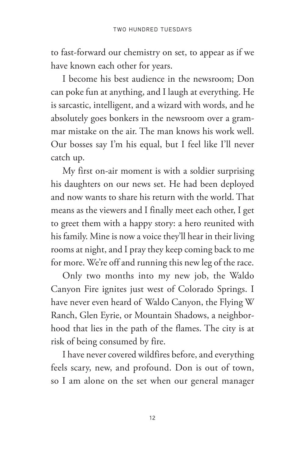to fast-forward our chemistry on set, to appear as if we have known each other for years.

I become his best audience in the newsroom; Don can poke fun at anything, and I laugh at everything. He is sarcastic, intelligent, and a wizard with words, and he absolutely goes bonkers in the newsroom over a grammar mistake on the air. The man knows his work well. Our bosses say I'm his equal, but I feel like I'll never catch up.

My first on-air moment is with a soldier surprising his daughters on our news set. He had been deployed and now wants to share his return with the world. That means as the viewers and I finally meet each other, I get to greet them with a happy story: a hero reunited with his family. Mine is now a voice they'll hear in their living rooms at night, and I pray they keep coming back to me for more. We're off and running this new leg of the race.

Only two months into my new job, the Waldo Canyon Fire ignites just west of Colorado Springs. I have never even heard of Waldo Canyon, the Flying W Ranch, Glen Eyrie, or Mountain Shadows, a neighborhood that lies in the path of the flames. The city is at risk of being consumed by fire.

I have never covered wildfires before, and everything feels scary, new, and profound. Don is out of town, so I am alone on the set when our general manager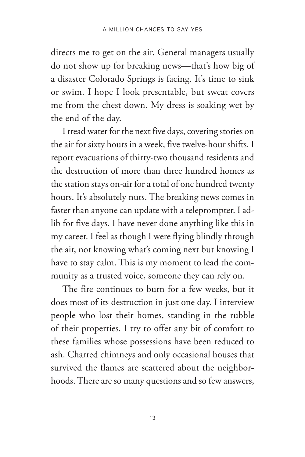directs me to get on the air. General managers usually do not show up for breaking news—that's how big of a disaster Colorado Springs is facing. It's time to sink or swim. I hope I look presentable, but sweat covers me from the chest down. My dress is soaking wet by the end of the day.

I tread water for the next five days, covering stories on the air for sixty hours in a week, five twelve-hour shifts. I report evacuations of thirty-two thousand residents and the destruction of more than three hundred homes as the station stays on-air for a total of one hundred twenty hours. It's absolutely nuts. The breaking news comes in faster than anyone can update with a teleprompter. I adlib for five days. I have never done anything like this in my career. I feel as though I were flying blindly through the air, not knowing what's coming next but knowing I have to stay calm. This is my moment to lead the community as a trusted voice, someone they can rely on.

The fire continues to burn for a few weeks, but it does most of its destruction in just one day. I interview people who lost their homes, standing in the rubble of their properties. I try to offer any bit of comfort to these families whose possessions have been reduced to ash. Charred chimneys and only occasional houses that survived the flames are scattered about the neighborhoods. There are so many questions and so few answers,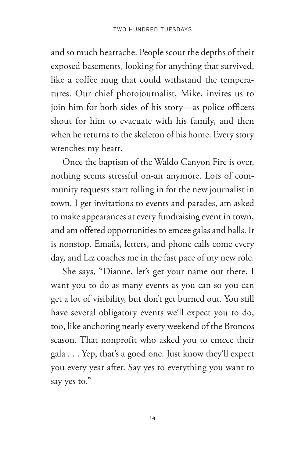and so much heartache. People scour the depths of their exposed basements, looking for anything that survived, like a coffee mug that could withstand the temperatures. Our chief photojournalist, Mike, invites us to join him for both sides of his story—as police officers shout for him to evacuate with his family, and then when he returns to the skeleton of his home. Every story wrenches my heart.

Once the baptism of the Waldo Canyon Fire is over, nothing seems stressful on-air anymore. Lots of community requests start rolling in for the new journalist in town. I get invitations to events and parades, am asked to make appearances at every fundraising event in town, and am offered opportunities to emcee galas and balls. It is nonstop. Emails, letters, and phone calls come every day, and Liz coaches me in the fast pace of my new role.

She says, "Dianne, let's get your name out there. I want you to do as many events as you can so you can get a lot of visibility, but don't get burned out. You still have several obligatory events we'll expect you to do, too, like anchoring nearly every weekend of the Broncos season. That nonprofit who asked you to emcee their gala . . . Yep, that's a good one. Just know they'll expect you every year after. Say yes to everything you want to say yes to."